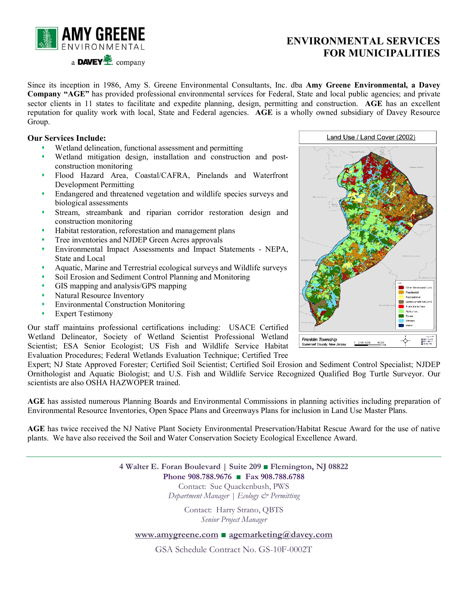

## **ENVIRONMENTAL SERVICES FOR MUNICIPALITIES**

Since its inception in 1986, Amy S. Greene Environmental Consultants, Inc. dba **Amy Greene Environmental, a Davey Company "AGE"** has provided professional environmental services for Federal, State and local public agencies; and private sector clients in 11 states to facilitate and expedite planning, design, permitting and construction. **AGE** has an excellent reputation for quality work with local, State and Federal agencies. **AGE** is a wholly owned subsidiary of Davey Resource Group.

## **Our Services Include:**

- Wetland delineation, functional assessment and permitting
- Wetland mitigation design, installation and construction and postconstruction monitoring
- Flood Hazard Area, Coastal/CAFRA, Pinelands and Waterfront Development Permitting
- Endangered and threatened vegetation and wildlife species surveys and biological assessments
- Stream, streambank and riparian corridor restoration design and construction monitoring
- Habitat restoration, reforestation and management plans
- Tree inventories and NJDEP Green Acres approvals
- Environmental Impact Assessments and Impact Statements NEPA, State and Local
- Aquatic, Marine and Terrestrial ecological surveys and Wildlife surveys
- Soil Erosion and Sediment Control Planning and Monitoring
- GIS mapping and analysis/GPS mapping
- Natural Resource Inventory
- Environmental Construction Monitoring
- Expert Testimony

Our staff maintains professional certifications including: USACE Certified Wetland Delineator, Society of Wetland Scientist Professional Wetland Scientist; ESA Senior Ecologist; US Fish and Wildlife Service Habitat Evaluation Procedures; Federal Wetlands Evaluation Technique; Certified Tree

Expert; NJ State Approved Forester; Certified Soil Scientist; Certified Soil Erosion and Sediment Control Specialist; NJDEP Ornithologist and Aquatic Biologist; and U.S. Fish and Wildlife Service Recognized Qualified Bog Turtle Surveyor. Our scientists are also OSHA HAZWOPER trained.

**AGE** has assisted numerous Planning Boards and Environmental Commissions in planning activities including preparation of Environmental Resource Inventories, Open Space Plans and Greenways Plans for inclusion in Land Use Master Plans.

**AGE** has twice received the NJ Native Plant Society Environmental Preservation/Habitat Rescue Award for the use of native plants. We have also received the Soil and Water Conservation Society Ecological Excellence Award.

> **4 Walter E. Foran Boulevard | Suite 209 ■ Flemington, NJ 08822 Phone 908.788.9676 ■ Fax 908.788.6788** Contact: Sue Quackenbush, PWS *Department Manager | Ecology & Permitting*

> > Contact: Harry Strano, QBTS *Senior Project Manager*

## **[www.amygreene.com](http://www.amygreene.com/) ■ agemarketing@davey.com**

GSA Schedule Contract No. GS-10F-0002T